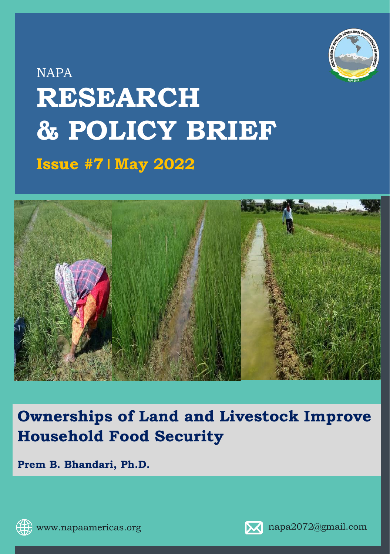

# NAPA **RESEARCH & POLICY BRIEF Issue #71 May 2022**



## **Ownerships of Land and Livestock Improve Household Food Security**

**Prem B. Bhandari, Ph.D.**



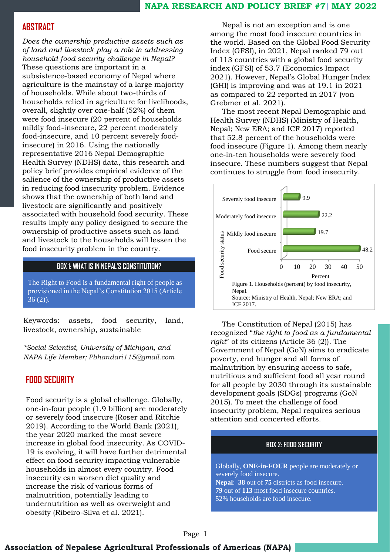#### **NAPA RESEARCH AND POLICY BRIEF #7 MAY 2022**

## **ABSTRACT**

*Does the ownership productive assets such as of land and livestock play a role in addressing household food security challenge in Nepal?* These questions are important in a subsistence-based economy of Nepal where agriculture is the mainstay of a large majority of households. While about two-thirds of households relied in agriculture for livelihoods, overall, slightly over one-half (52%) of them were food insecure (20 percent of households mildly food-insecure, 22 percent moderately food-insecure, and 10 percent severely foodinsecure) in 2016. Using the nationally representative 2016 Nepal Demographic Health Survey (NDHS) data, this research and policy brief provides empirical evidence of the salience of the ownership of productive assets in reducing food insecurity problem. Evidence shows that the ownership of both land and livestock are significantly and positively associated with household food security. These results imply any policy designed to secure the ownership of productive assets such as land and livestock to the households will lessen the food insecurity problem in the country.

#### **BOX 1: WHAT IS IN NEPAL'S CONSTITUTION?**

The Right to Food is a fundamental right of people as provisioned in the Nepal's Constitution 2015 (Article 36 (2)).

Keywords: assets, food security, land, livestock, ownership, sustainable

*\*Social Scientist, University of Michigan, and NAPA Life Member; Pbhandari115@gmail.com*

## **FOOD SECURITY**

Food security is a global challenge. Globally, one-in-four people (1.9 billion) are moderately or severely food insecure (Roser and Ritchie 2019). According to the World Bank (2021), the year 2020 marked the most severe increase in global food insecurity. As COVID-19 is evolving, it will have further detrimental effect on food security impacting vulnerable households in almost every country. Food insecurity can worsen diet quality and increase the risk of various forms of malnutrition, potentially leading to undernutrition as well as overweight and obesity (Ribeiro-Silva et al. 2021).

Nepal is not an exception and is one among the most food insecure countries in the world. Based on the Global Food Security Index (GFSI), in 2021, Nepal ranked 79 out of 113 countries with a global food security index (GFSI) of 53.7 (Economics Impact 2021). However, Nepal's Global Hunger Index (GHI) is improving and was at 19.1 in 2021 as compared to 22 reported in 2017 (von Grebmer et al. 2021).

The most recent Nepal Demographic and Health Survey (NDHS) (Ministry of Health, Nepal; New ERA; and ICF 2017) reported that 52.8 percent of the households were food insecure (Figure 1). Among them nearly one-in-ten households were severely food insecure. These numbers suggest that Nepal continues to struggle from food insecurity.



The Constitution of Nepal (2015) has recognized "*the right to food as a fundamental right*" of its citizens (Article 36 (2)). The Government of Nepal (GoN) aims to eradicate poverty, end hunger and all forms of malnutrition by ensuring access to safe, nutritious and sufficient food all year round for all people by 2030 through its sustainable development goals (SDGs) programs (GoN 2015). To meet the challenge of food insecurity problem, Nepal requires serious attention and concerted efforts.

#### **BOX 2: FOOD SECURITY**

Globally, **ONE-in-FOUR** people are moderately or severely food insecure. **Nepal**: **38** out of **75** districts as food insecure.

**79** out of **113** most food insecure countries. 52% households are food insecure.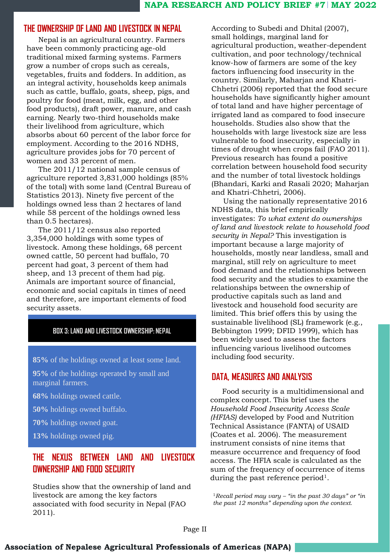## **THE OWNERSHIP OF LAND AND LIVESTOCK IN NEPAL**

Nepal is an agricultural country. Farmers have been commonly practicing age-old traditional mixed farming systems. Farmers grow a number of crops such as cereals, vegetables, fruits and fodders. In addition, as an integral activity, households keep animals such as cattle, buffalo, goats, sheep, pigs, and poultry for food (meat, milk, egg, and other food products), draft power, manure, and cash earning. Nearly two-third households make their livelihood from agriculture, which absorbs about 60 percent of the labor force for employment. According to the 2016 NDHS, agriculture provides jobs for 70 percent of women and 33 percent of men.

The 2011/12 national sample census of agriculture reported 3,831,000 holdings (85% of the total) with some land (Central Bureau of Statistics 2013). Ninety five percent of the holdings owned less than 2 hectares of land while 58 percent of the holdings owned less than 0.5 hectares).

The 2011/12 census also reported 3,354,000 holdings with some types of livestock. Among these holdings, 68 percent owned cattle, 50 percent had buffalo, 70 percent had goat, 3 percent of them had sheep, and 13 precent of them had pig. Animals are important source of financial, economic and social capitals in times of need and therefore, are important elements of food security assets.

#### **BOX 3: LAND AND LIVESTOCK OWNERSHIP: NEPAL**

**85%** of the holdings owned at least some land.

**95%** of the holdings operated by small and marginal farmers.

**68%** holdings owned cattle.

**50%** holdings owned buffalo.

**70%** holdings owned goat.

**13%** holdings owned pig.

## **THE NEXUS BETWEEN LAND AND LIVESTOCK OWNERSHIP AND FOOD SECURITY**

Studies show that the ownership of land and livestock are among the key factors associated with food security in Nepal (FAO 2011).

According to Subedi and Dhital (2007), small holdings, marginal land for agricultural production, weather-dependent cultivation, and poor technology/technical know-how of farmers are some of the key factors influencing food insecurity in the country. Similarly, Maharjan and Khatri-Chhetri (2006) reported that the food secure households have significantly higher amount of total land and have higher percentage of irrigated land as compared to food insecure households. Studies also show that the households with large livestock size are less vulnerable to food insecurity, especially in times of drought when crops fail (FAO 2011). Previous research has found a positive correlation between household food security and the number of total livestock holdings (Bhandari, Karki and Rasali 2020; Maharjan and Khatri-Chhetri, 2006).

Using the nationally representative 2016 NDHS data, this brief empirically investigates: *To what extent do ownerships of land and livestock relate to household food security in Nepal?* This investigation is important because a large majority of households, mostly near landless, small and marginal, still rely on agriculture to meet food demand and the relationships between food security and the studies to examine the relationships between the ownership of productive capitals such as land and livestock and household food security are limited. This brief offers this by using the sustainable livelihood (SL) framework (e.g., Bebbington 1999; DFID 1999), which has been widely used to assess the factors influencing various livelihood outcomes including food security.

## **DATA, MEASURES AND ANALYSIS**

Food security is a multidimensional and complex concept. This brief uses the *Household Food Insecurity Access Scale (HFIAS)* developed by Food and Nutrition Technical Assistance (FANTA) of USAID (Coates et al. 2006). The measurement instrument consists of nine items that measure occurrence and frequency of food access. The HFIA scale is calculated as the sum of the frequency of occurrence of items during the past reference period<sup>1</sup>.

<sup>1</sup>*Recall period may vary – "in the past 30 days" or "in the past 12 months" depending upon the context.* 

Page II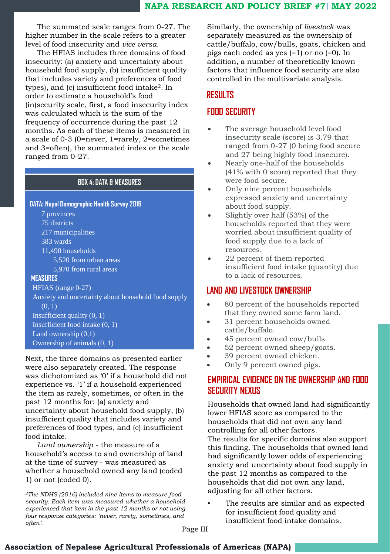The summated scale ranges from 0-27. The higher number in the scale refers to a greater level of food insecurity and *vice versa.*

The HFIAS includes three domains of food insecurity: (a) anxiety and uncertainty about household food supply, (b) insufficient quality that includes variety and preferences of food types), and (c) insufficient food intake<sup>2</sup>. In order to estimate a household's food (in)security scale, first, a food insecurity index was calculated which is the sum of the frequency of occurrence during the past 12 months. As each of these items is measured in a scale of 0-3 (0=never, 1=rarely, 2=sometimes and 3=often), the summated index or the scale ranged from 0-27.

## **BOX 4: DATA & MEASURES**

**DATA: Nepal Demographic Health Survey 2016**

7 provinces 75 districts 217 municipalities 383 wards 11,490 households 5,520 from urban areas 5,970 from rural areas **MEASURES** HFIAS (range 0-27) Anxiety and uncertainty about household food supply (0, 1)

Insufficient quality (0, 1) Insufficient food intake (0, 1)

Land ownership (0,1) Ownership of animals (0, 1)

Next, the three domains as presented earlier were also separately created. The response was dichotomized as '0' if a household did not experience vs. '1' if a household experienced the item as rarely, sometimes, or often in the past 12 months for: (a) anxiety and uncertainty about household food supply, (b) insufficient quality that includes variety and preferences of food types, and (c) insufficient food intake.

*Land ownership* - the measure of a household's access to and ownership of land at the time of survey - was measured as whether a household owned any land (coded 1) or not (coded 0).

*<sup>2</sup>The NDHS (2016) included nine items to measure food security. Each item was measured whether a household experienced that item in the past 12 months or not using four response categories: 'never, rarely, sometimes, and often'.*

Similarly, the ownership of *livestock* was separately measured as the ownership of cattle/buffalo, cow/bulls, goats, chicken and pigs each coded as yes (=1) or no (=0). In addition, a number of theoretically known factors that influence food security are also controlled in the multivariate analysis.

## **RESULTS**

## **FOOD SECURITY**

- The average household level food insecurity scale (score) is 3.79 that ranged from 0-27 (0 being food secure and 27 being highly food insecure).
- Nearly one-half of the households (41% with 0 score) reported that they were food secure.
- Only nine percent households expressed anxiety and uncertainty about food supply.
- Slightly over half (53%) of the households reported that they were worried about insufficient quality of food supply due to a lack of resources.
- 22 percent of them reported insufficient food intake (quantity) due to a lack of resources.

## **LAND AND LIVESTOCK OWNERSHIP**

- 80 percent of the households reported that they owned some farm land.
- 31 percent households owned cattle/buffalo.
- 45 percent owned cow/bulls.
- 52 percent owned sheep/goats.
- 39 percent owned chicken.
- Only 9 percent owned pigs.

## **EMPIRICAL EVIDENCE ON THE OWNERSHIP AND FOOD SECURITY NEXUS**

Households that owned land had significantly lower HFIAS score as compared to the households that did not own any land controlling for all other factors.

The results for specific domains also support this finding. The households that owned land had significantly lower odds of experiencing anxiety and uncertainty about food supply in the past 12 months as compared to the households that did not own any land, adjusting for all other factors.

The results are similar and as expected for insufficient food quality and insufficient food intake domains.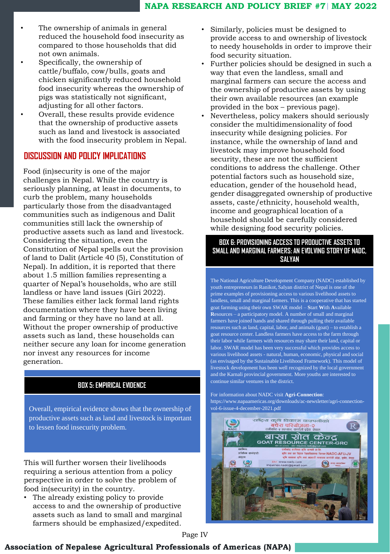- The ownership of animals in general reduced the household food insecurity as compared to those households that did not own animals.
- Specifically, the ownership of cattle/buffalo, cow/bulls, goats and chicken significantly reduced household food insecurity whereas the ownership of pigs was statistically not significant, adjusting for all other factors.
- Overall, these results provide evidence that the ownership of productive assets such as land and livestock is associated with the food insecurity problem in Nepal.

## **DISCUSSION AND POLICY IMPLICATIONS**

Food (in)security is one of the major challenges in Nepal. While the country is seriously planning, at least in documents, to curb the problem, many households particularly those from the disadvantaged communities such as indigenous and Dalit communities still lack the ownership of productive assets such as land and livestock. Considering the situation, even the Constitution of Nepal spells out the provision of land to Dalit (Article 40 (5), Constitution of Nepal). In addition, it is reported that there about 1.5 million families representing a quarter of Nepal's households, who are still landless or have land issues (Giri 2022). These families either lack formal land rights documentation where they have been living and farming or they have no land at all. Without the proper ownership of productive assets such as land, these households can neither secure any loan for income generation nor invest any resources for income generation.

#### **BOX 5: EMPIRICAL EVIDENCE**

Overall, empirical evidence shows that the ownership of productive assets such as land and livestock is important to lessen food insecurity problem.

This will further worsen their livelihoods requiring a serious attention from a policy perspective in order to solve the problem of food in(security) in the country.

• The already existing policy to provide access to and the ownership of productive assets such as land to small and marginal farmers should be emphasized/expedited.

- Similarly, policies must be designed to provide access to and ownership of livestock to needy households in order to improve their food security situation.
- Further policies should be designed in such a way that even the landless, small and marginal farmers can secure the access and the ownership of productive assets by using their own available resources (an example provided in the box – previous page).
- Nevertheless, policy makers should seriously consider the multidimensionality of food insecurity while designing policies. For instance, while the ownership of land and livestock may improve household food security, these are not the sufficient conditions to address the challenge. Other potential factors such as household size, education, gender of the household head, gender disaggregated ownership of productive assets, caste/ethnicity, household wealth, income and geographical location of a household should be carefully considered while designing food security policies.

#### **BOX 6: PROVISIONING ACCESS TO PRODUCTIVE ASSETS TO SMALL AND MARGINAL FARMERS: AN EVOLVING STORY OF NADC, SALYAN**

The National Agriculture Development Company (NADC) established by youth entrepreneurs in Ranikot, Salyan district of Nepal is one of the prime examples of provisioning access to various livelihood assets to landless, small and marginal farmers. This is a cooperative that has started goat farming using their own SWAR model – **S**tart **W**ith **A**vailable **R**esources – a participatory model. A number of small and marginal farmers have joined hands and shared through pulling their available resources such as land, capital, labor, and animals (goat) – to establish a goat resource center. Landless farmers have access to the farm through their labor while farmers with resources may share their land, capital or labor. SWAR model has been very successful which provides access to various livelihood assets - natural, human, economic, physical and social (as envisaged by the Sustainable Livelihood Framework). This model of livestock development has been well recognized by the local government and the Karnali provincial government. More youths are interested to continue similar ventures in the district.

For information about NADC visit **Agri-Connection**: https://www.napaamericas.org/downloads/ac-newsletter/agri-connectionvol-6-issue-4-december-2021.pdf



Page IV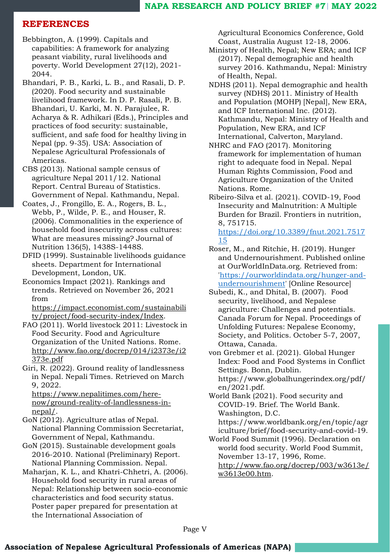## **REFERENCES**

- Bebbington, A. (1999). Capitals and capabilities: A framework for analyzing peasant viability, rural livelihoods and poverty. World Development 27(12), 2021- 2044.
- Bhandari, P. B., Karki, L. B., and Rasali, D. P. (2020). Food security and sustainable livelihood framework. In D. P. Rasali, P. B. Bhandari, U. Karki, M. N. Parajulee, R. Acharya & R. Adhikari (Eds.), Principles and practices of food security: sustainable, sufficient, and safe food for healthy living in Nepal (pp. 9-35). USA: Association of Nepalese Agricultural Professionals of Americas.
- CBS (2013). National sample census of agriculture Nepal 2011/12. National Report. Central Bureau of Statistics. Government of Nepal. Kathmandu, Nepal.
- Coates, J., Frongillo, E. A., Rogers, B. L., Webb, P., Wilde, P. E., and Houser, R. (2006). Commonalities in the experience of household food insecurity across cultures: What are measures missing? Journal of Nutrition 136(5), 1438S-1448S.
- DFID (1999). Sustainable livelihoods guidance sheets. Department for International Development, London, UK.
- Economics Impact (2021). Rankings and trends. Retrieved on November 26, 2021 from

[https://impact.economist.com/sustainabili](https://impact.economist.com/sustainability/project/food-security-index/Index) ty/project/food-security-index/Index.

- FAO (2011). World livestock 2011: Livestock in Food Security. Food and Agriculture Organization of the United Nations. Rome. [http://www.fao.org/docrep/014/i2373e/i2](http://www.fao.org/docrep/014/i2373e/i2373e.pdf) 373e.pdf
- Giri, R. (2022). Ground reality of landlessness in Nepal. Nepali Times. Retrieved on March 9, 2022.

https://www.nepalitimes.com/here[now/ground-reality-of-landlessness-in](https://www.nepalitimes.com/here-now/ground-reality-of-landlessness-in-nepal/)nepal/.

- GoN (2012). Agriculture atlas of Nepal. National Planning Commission Secretariat, Government of Nepal, Kathmandu.
- GoN (2015). Sustainable development goals 2016-2010. National (Preliminary) Report. National Planning Commission. Nepal.
- Maharjan, K. L., and Khatri-Chhetri, A. (2006). Household food security in rural areas of Nepal: Relationship between socio-economic characteristics and food security status. Poster paper prepared for presentation at the International Association of

Agricultural Economics Conference, Gold Coast, Australia August 12-18, 2006.

- Ministry of Health, Nepal; New ERA; and ICF (2017). Nepal demographic and health survey 2016. Kathmandu, Nepal: Ministry of Health, Nepal.
- NDHS (2011). Nepal demographic and health survey (NDHS) 2011. Ministry of Health and Population (MOHP) [Nepal], New ERA, and ICF International Inc. (2012). Kathmandu, Nepal: Ministry of Health and Population, New ERA, and ICF International, Calverton, Maryland.
- NHRC and FAO (2017). Monitoring framework for implementation of human right to adequate food in Nepal. Nepal Human Rights Commission, Food and Agriculture Organization of the United Nations. Rome.
- Ribeiro-Silva et al. (2021). COVID-19, Food Insecurity and Malnutrition: A Multiple Burden for Brazil. Frontiers in nutrition, 8, 751715.

[https://doi.org/10.3389/fnut.2021.7517](https://doi.org/10.3389/fnut.2021.751715) 15

- Roser, M., and Ritchie, H. (2019). Hunger and Undernourishment. Published online at OurWorldInData.org. Retrieved from: 'https://ourworldindata.org/hunger-and[undernourishment' \[Online Resource\]](https://ourworldindata.org/hunger-and-undernourishment)
- Subedi, K., and Dhital, B. (2007). Food security, livelihood, and Nepalese agriculture: Challenges and potentials. Canada Forum for Nepal. Proceedings of Unfolding Futures: Nepalese Economy, Society, and Politics. October 5-7, 2007, Ottawa, Canada.
- von Grebmer et al. (2021). Global Hunger Index: Food and Food Systems in Conflict Settings. Bonn, Dublin. https://www.globalhungerindex.org/pdf/

en/2021.pdf.

- World Bank (2021). Food security and COVID-19. Brief. The World Bank. Washington, D.C. https://www.worldbank.org/en/topic/agr iculture/brief/food-security-and-covid-19.
- World Food Summit (1996). Declaration on world food security. World Food Summit, November 13-17, 1996, Rome. [http://www.fao.org/docrep/003/w3613e/](http://www.fao.org/docrep/003/w3613e/w3613e00.htm) w3613e00.htm.